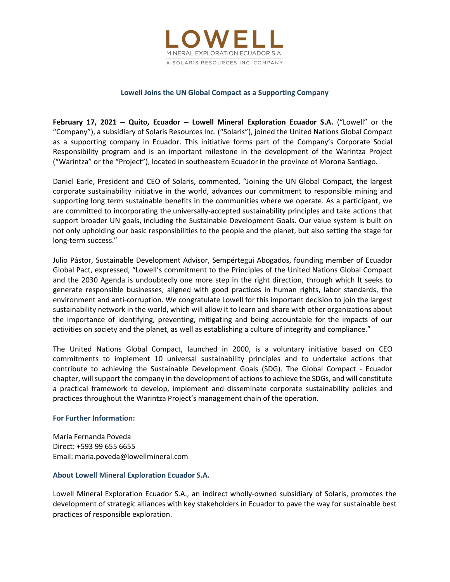

# Lowell Joins the UN Global Compact as a Supporting Company

February 17, 2021 – Quito, Ecuador – Lowell Mineral Exploration Ecuador S.A. ("Lowell" or the "Company"), a subsidiary of Solaris Resources Inc. ("Solaris"), joined the United Nations Global Compact as a supporting company in Ecuador. This initiative forms part of the Company's Corporate Social Responsibility program and is an important milestone in the development of the Warintza Project ("Warintza" or the "Project"), located in southeastern Ecuador in the province of Morona Santiago.

Daniel Earle, President and CEO of Solaris, commented, "Joining the UN Global Compact, the largest corporate sustainability initiative in the world, advances our commitment to responsible mining and supporting long term sustainable benefits in the communities where we operate. As a participant, we are committed to incorporating the universally-accepted sustainability principles and take actions that support broader UN goals, including the Sustainable Development Goals. Our value system is built on not only upholding our basic responsibilities to the people and the planet, but also setting the stage for long-term success."

Julio Pástor, Sustainable Development Advisor, Sempértegui Abogados, founding member of Ecuador Global Pact, expressed, "Lowell's commitment to the Principles of the United Nations Global Compact and the 2030 Agenda is undoubtedly one more step in the right direction, through which It seeks to generate responsible businesses, aligned with good practices in human rights, labor standards, the environment and anti-corruption. We congratulate Lowell for this important decision to join the largest sustainability network in the world, which will allow it to learn and share with other organizations about the importance of identifying, preventing, mitigating and being accountable for the impacts of our activities on society and the planet, as well as establishing a culture of integrity and compliance."

The United Nations Global Compact, launched in 2000, is a voluntary initiative based on CEO commitments to implement 10 universal sustainability principles and to undertake actions that contribute to achieving the Sustainable Development Goals (SDG). The Global Compact - Ecuador chapter, will support the company in the development of actions to achieve the SDGs, and will constitute a practical framework to develop, implement and disseminate corporate sustainability policies and practices throughout the Warintza Project's management chain of the operation.

## For Further Information:

María Fernanda Poveda Direct: +593 99 655 6655 Email: maria.poveda@lowellmineral.com

## About Lowell Mineral Exploration Ecuador S.A.

Lowell Mineral Exploration Ecuador S.A., an indirect wholly-owned subsidiary of Solaris, promotes the development of strategic alliances with key stakeholders in Ecuador to pave the way for sustainable best practices of responsible exploration.